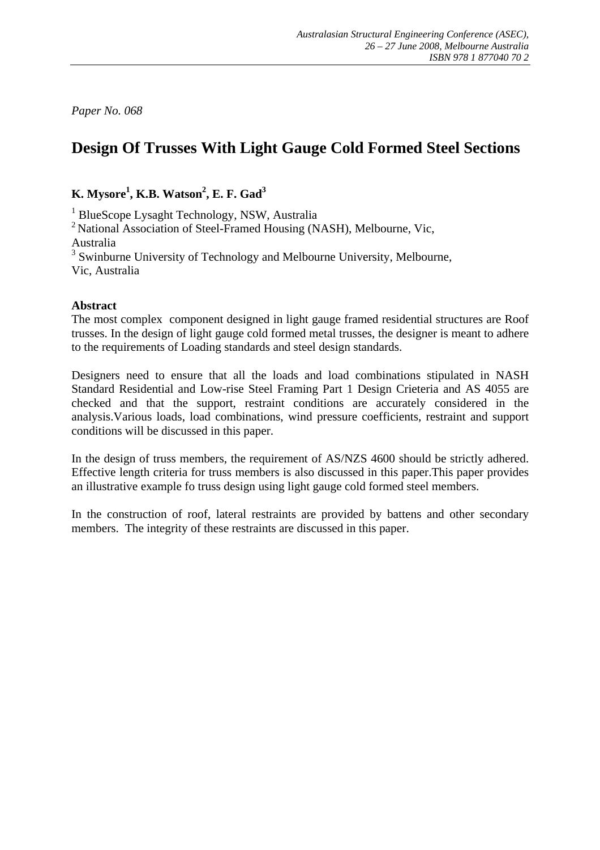*Paper No. 068* 

# **Design Of Trusses With Light Gauge Cold Formed Steel Sections**

**K.** Mysore<sup>1</sup>, **K.B.** Watson<sup>2</sup>, **E.** F. Gad<sup>3</sup>

<sup>1</sup> BlueScope Lysaght Technology, NSW, Australia

<sup>2</sup> National Association of Steel-Framed Housing (NASH), Melbourne, Vic, Australia

<sup>3</sup> Swinburne University of Technology and Melbourne University, Melbourne, Vic, Australia

#### **Abstract**

The most complex component designed in light gauge framed residential structures are Roof trusses. In the design of light gauge cold formed metal trusses, the designer is meant to adhere to the requirements of Loading standards and steel design standards.

Designers need to ensure that all the loads and load combinations stipulated in NASH Standard Residential and Low-rise Steel Framing Part 1 Design Crieteria and AS 4055 are checked and that the support, restraint conditions are accurately considered in the analysis.Various loads, load combinations, wind pressure coefficients, restraint and support conditions will be discussed in this paper.

In the design of truss members, the requirement of AS/NZS 4600 should be strictly adhered. Effective length criteria for truss members is also discussed in this paper.This paper provides an illustrative example fo truss design using light gauge cold formed steel members.

In the construction of roof, lateral restraints are provided by battens and other secondary members. The integrity of these restraints are discussed in this paper.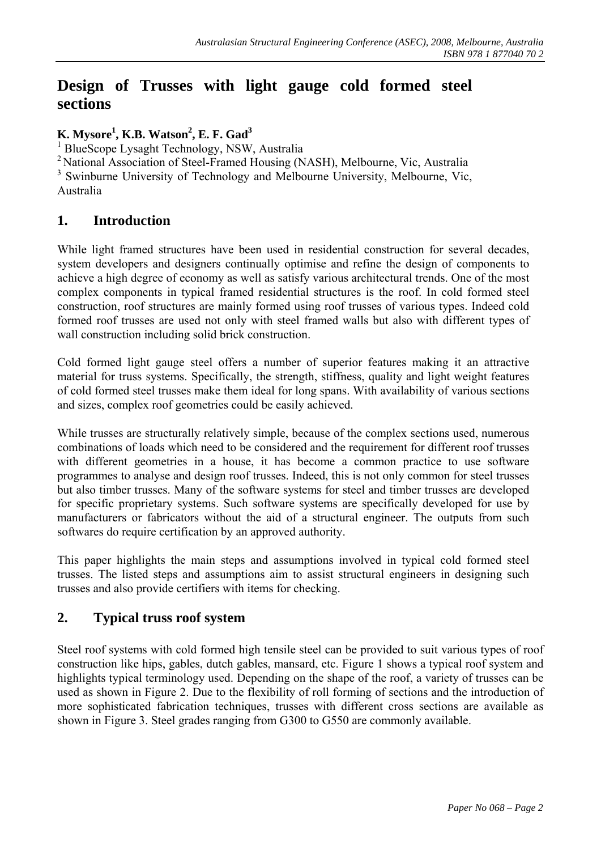## **Design of Trusses with light gauge cold formed steel sections**

**K. Mysore<sup>1</sup>, <b>K.B. Watson<sup>2</sup>, <b>E. F. Gad**<sup>3</sup><br><sup>1</sup> Physicson Lysasht Technology, NSW

<sup>1</sup> BlueScope Lysaght Technology, NSW, Australia

<sup>2</sup> National Association of Steel-Framed Housing (NASH), Melbourne, Vic, Australia

<sup>3</sup> Swinburne University of Technology and Melbourne University, Melbourne, Vic, Australia

## **1. Introduction**

While light framed structures have been used in residential construction for several decades, system developers and designers continually optimise and refine the design of components to achieve a high degree of economy as well as satisfy various architectural trends. One of the most complex components in typical framed residential structures is the roof. In cold formed steel construction, roof structures are mainly formed using roof trusses of various types. Indeed cold formed roof trusses are used not only with steel framed walls but also with different types of wall construction including solid brick construction.

Cold formed light gauge steel offers a number of superior features making it an attractive material for truss systems. Specifically, the strength, stiffness, quality and light weight features of cold formed steel trusses make them ideal for long spans. With availability of various sections and sizes, complex roof geometries could be easily achieved.

While trusses are structurally relatively simple, because of the complex sections used, numerous combinations of loads which need to be considered and the requirement for different roof trusses with different geometries in a house, it has become a common practice to use software programmes to analyse and design roof trusses. Indeed, this is not only common for steel trusses but also timber trusses. Many of the software systems for steel and timber trusses are developed for specific proprietary systems. Such software systems are specifically developed for use by manufacturers or fabricators without the aid of a structural engineer. The outputs from such softwares do require certification by an approved authority.

This paper highlights the main steps and assumptions involved in typical cold formed steel trusses. The listed steps and assumptions aim to assist structural engineers in designing such trusses and also provide certifiers with items for checking.

## **2. Typical truss roof system**

Steel roof systems with cold formed high tensile steel can be provided to suit various types of roof construction like hips, gables, dutch gables, mansard, etc. Figure 1 shows a typical roof system and highlights typical terminology used. Depending on the shape of the roof, a variety of trusses can be used as shown in Figure 2. Due to the flexibility of roll forming of sections and the introduction of more sophisticated fabrication techniques, trusses with different cross sections are available as shown in Figure 3. Steel grades ranging from G300 to G550 are commonly available.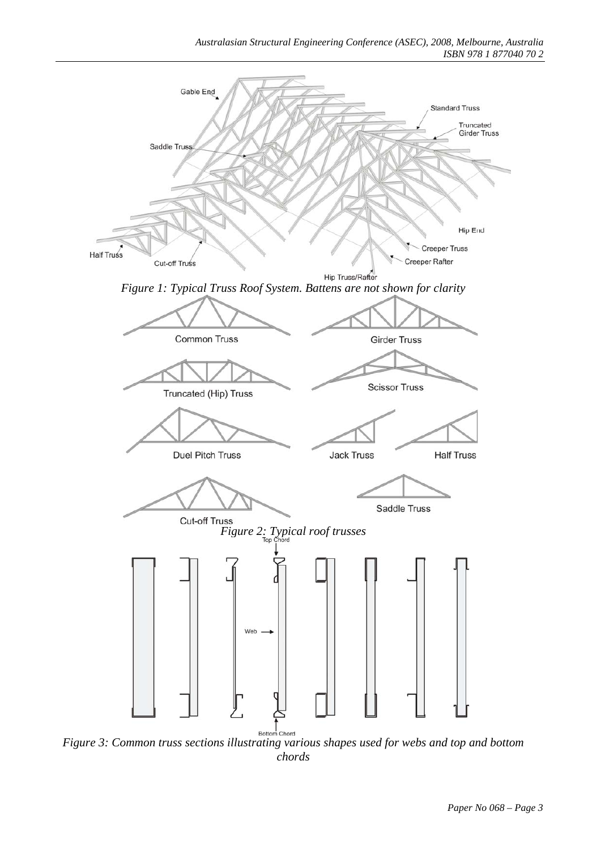

*Figure 3: Common truss sections illustrating various shapes used for webs and top and bottom chords*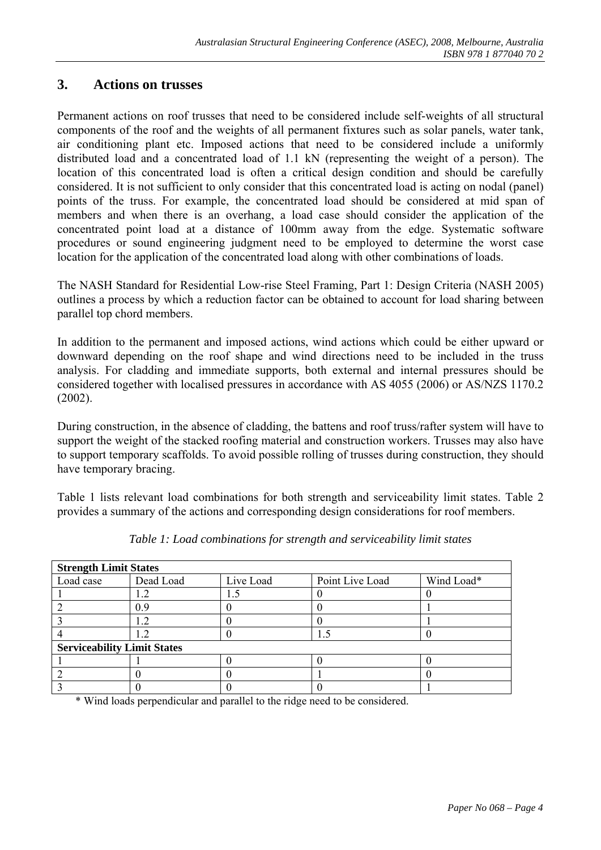## **3. Actions on trusses**

Permanent actions on roof trusses that need to be considered include self-weights of all structural components of the roof and the weights of all permanent fixtures such as solar panels, water tank, air conditioning plant etc. Imposed actions that need to be considered include a uniformly distributed load and a concentrated load of 1.1 kN (representing the weight of a person). The location of this concentrated load is often a critical design condition and should be carefully considered. It is not sufficient to only consider that this concentrated load is acting on nodal (panel) points of the truss. For example, the concentrated load should be considered at mid span of members and when there is an overhang, a load case should consider the application of the concentrated point load at a distance of 100mm away from the edge. Systematic software procedures or sound engineering judgment need to be employed to determine the worst case location for the application of the concentrated load along with other combinations of loads.

The NASH Standard for Residential Low-rise Steel Framing, Part 1: Design Criteria (NASH 2005) outlines a process by which a reduction factor can be obtained to account for load sharing between parallel top chord members.

In addition to the permanent and imposed actions, wind actions which could be either upward or downward depending on the roof shape and wind directions need to be included in the truss analysis. For cladding and immediate supports, both external and internal pressures should be considered together with localised pressures in accordance with AS 4055 (2006) or AS/NZS 1170.2 (2002).

During construction, in the absence of cladding, the battens and roof truss/rafter system will have to support the weight of the stacked roofing material and construction workers. Trusses may also have to support temporary scaffolds. To avoid possible rolling of trusses during construction, they should have temporary bracing.

Table 1 lists relevant load combinations for both strength and serviceability limit states. Table 2 provides a summary of the actions and corresponding design considerations for roof members.

| <b>Strength Limit States</b>       |           |           |                 |            |  |  |  |
|------------------------------------|-----------|-----------|-----------------|------------|--|--|--|
| Load case                          | Dead Load | Live Load | Point Live Load | Wind Load* |  |  |  |
|                                    |           |           |                 |            |  |  |  |
|                                    | 0.9       |           |                 |            |  |  |  |
|                                    |           |           |                 |            |  |  |  |
|                                    |           |           |                 |            |  |  |  |
| <b>Serviceability Limit States</b> |           |           |                 |            |  |  |  |
|                                    |           |           |                 |            |  |  |  |
|                                    |           |           |                 |            |  |  |  |
|                                    |           |           |                 |            |  |  |  |

*Table 1: Load combinations for strength and serviceability limit states* 

\* Wind loads perpendicular and parallel to the ridge need to be considered.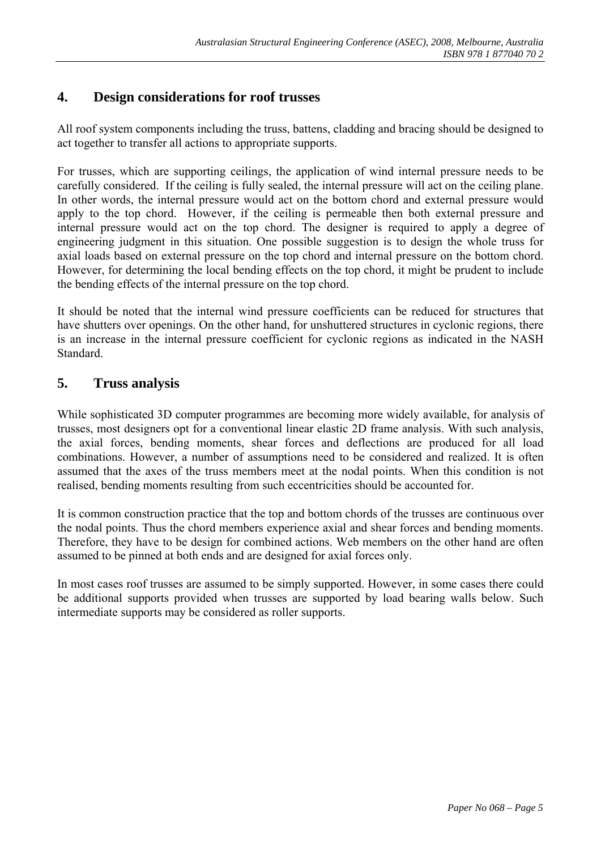## **4. Design considerations for roof trusses**

All roof system components including the truss, battens, cladding and bracing should be designed to act together to transfer all actions to appropriate supports.

For trusses, which are supporting ceilings, the application of wind internal pressure needs to be carefully considered. If the ceiling is fully sealed, the internal pressure will act on the ceiling plane. In other words, the internal pressure would act on the bottom chord and external pressure would apply to the top chord. However, if the ceiling is permeable then both external pressure and internal pressure would act on the top chord. The designer is required to apply a degree of engineering judgment in this situation. One possible suggestion is to design the whole truss for axial loads based on external pressure on the top chord and internal pressure on the bottom chord. However, for determining the local bending effects on the top chord, it might be prudent to include the bending effects of the internal pressure on the top chord.

It should be noted that the internal wind pressure coefficients can be reduced for structures that have shutters over openings. On the other hand, for unshuttered structures in cyclonic regions, there is an increase in the internal pressure coefficient for cyclonic regions as indicated in the NASH Standard.

## **5. Truss analysis**

While sophisticated 3D computer programmes are becoming more widely available, for analysis of trusses, most designers opt for a conventional linear elastic 2D frame analysis. With such analysis, the axial forces, bending moments, shear forces and deflections are produced for all load combinations. However, a number of assumptions need to be considered and realized. It is often assumed that the axes of the truss members meet at the nodal points. When this condition is not realised, bending moments resulting from such eccentricities should be accounted for.

It is common construction practice that the top and bottom chords of the trusses are continuous over the nodal points. Thus the chord members experience axial and shear forces and bending moments. Therefore, they have to be design for combined actions. Web members on the other hand are often assumed to be pinned at both ends and are designed for axial forces only.

In most cases roof trusses are assumed to be simply supported. However, in some cases there could be additional supports provided when trusses are supported by load bearing walls below. Such intermediate supports may be considered as roller supports.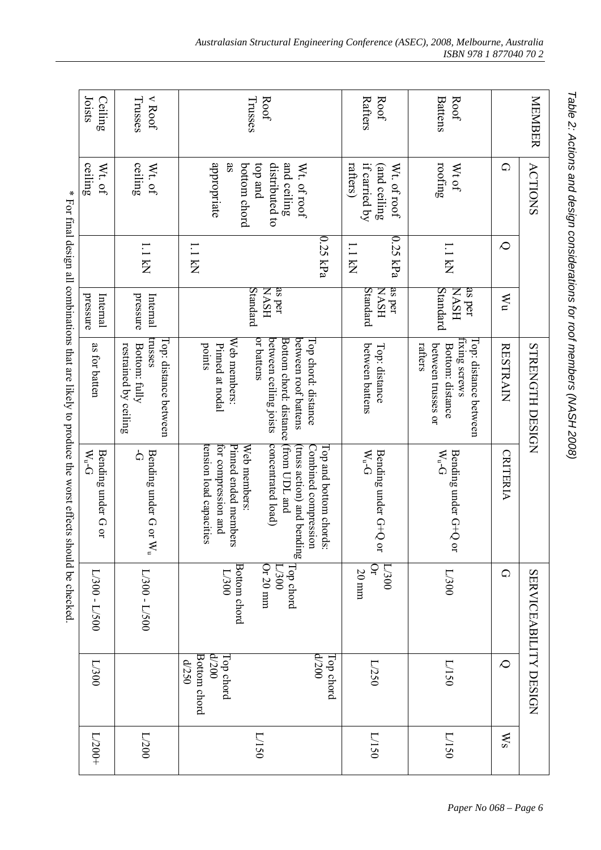|                                                                                | Joists<br>Ceiling                            | $v$ Roof<br>Trusses                                                        | Trusses<br>Roof                                                                                                                                                                             | Rafters<br>Roof                                          | <b>Battens</b><br>Roof                                                                      |                  | MEMBER                |
|--------------------------------------------------------------------------------|----------------------------------------------|----------------------------------------------------------------------------|---------------------------------------------------------------------------------------------------------------------------------------------------------------------------------------------|----------------------------------------------------------|---------------------------------------------------------------------------------------------|------------------|-----------------------|
| ∗                                                                              | $\mathop{\rm ceiling}\nolimits$<br>$Wt$ . of | ceiling<br>$Wt$ . of                                                       | appropriate<br>$\overline{\mathbf{a}}$<br>pue do <sub>1</sub><br>distributed to<br>and ceiling<br>bottom chord<br>Wt. of roof                                                               | rafters)<br>Wt. of roof<br>(and ceiling<br>if carried by | rooting<br>Wt of                                                                            | $\Omega$         | <b>ACTIONS</b>        |
|                                                                                |                                              | <b>I.I kN</b>                                                              | 0.25 kPa<br><b>I.I kN</b>                                                                                                                                                                   | $0.25$ kPa<br>I.I kN                                     | <b>I.I</b> kN                                                                               | $\infty$         |                       |
|                                                                                | pressure<br>Internal                         | pressure<br>Internal                                                       | Standard<br>as per<br><b>NASH</b>                                                                                                                                                           | as per<br>Standard<br>HSVN                               | Standard<br>as per<br><b>HSVN</b>                                                           | nM               |                       |
| For final design all combinations that are likely to produce the worst effects | as for batten                                | trusses<br>Top: distance between<br>restrained by ceiling<br>Bottom: fully | or battens<br>between ceiling joists<br>Bottom chord: distance (from UDL and<br>between roof battens<br>Web members:<br>Top chord: distance<br>Pinned at nodal<br>points                    | between battens<br>Top: distance                         | fixing screws<br>Top: distance between<br>rafters<br>between trusses or<br>Bottom: distance | <b>RESTRAIN</b>  | STRENGTH DESIGN       |
|                                                                                | Bending under G or<br>W <sub>n</sub>         | $\overline{C}$<br>Bending under G or<br>$\mathbb{N}_{\mathfrak{a}}$        | concentrated load)<br>tension load capacities<br>for compression and<br>Pinned ended members<br>Web members:<br>Combined compression<br>Top and bottom chords:<br>truss action) and bending | W <sub>n</sub><br>Bending under G+Q<br>$\sum_{i=1}^{n}$  | Bending under G+Q or<br>W <sub>n</sub>                                                      | <b>CRITERIA</b>  |                       |
| should be checked.                                                             | $1/300 - 1/500$                              | $1/300 - 1/500$                                                            | <b>Bottom</b> chord<br>Or 20 mm<br>Top chord<br>$00 \epsilon$<br>D08/T                                                                                                                      | D200<br>å<br>$20 \mathrm{\; mm}$                         | $00E/T$                                                                                     | $\Omega$         | SERVICEABILITY DESIGN |
|                                                                                | L/300                                        |                                                                            | 00Z/P<br>00Z/P<br>Bottom chord<br><b>Top chord</b><br><b>Top</b> chord<br>052/P                                                                                                             | L/250                                                    | DS1/1                                                                                       | $\infty$         |                       |
|                                                                                | $L/200+$                                     | $\Gamma/200$                                                               | DS1/1                                                                                                                                                                                       | DS1/1                                                    | DS1/1                                                                                       | $\mathbb{W}_{S}$ |                       |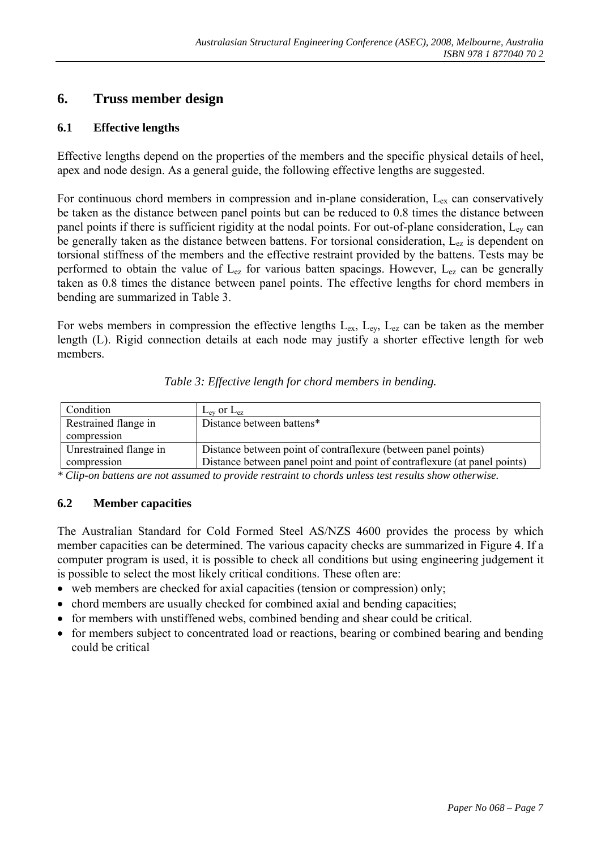## **6. Truss member design**

#### **6.1 Effective lengths**

Effective lengths depend on the properties of the members and the specific physical details of heel, apex and node design. As a general guide, the following effective lengths are suggested.

For continuous chord members in compression and in-plane consideration,  $L_{ex}$  can conservatively be taken as the distance between panel points but can be reduced to 0.8 times the distance between panel points if there is sufficient rigidity at the nodal points. For out-of-plane consideration,  $L_{ev}$  can be generally taken as the distance between battens. For torsional consideration,  $L_{ez}$  is dependent on torsional stiffness of the members and the effective restraint provided by the battens. Tests may be performed to obtain the value of  $L_{ez}$  for various batten spacings. However,  $L_{ez}$  can be generally taken as 0.8 times the distance between panel points. The effective lengths for chord members in bending are summarized in Table 3.

For webs members in compression the effective lengths  $L_{ex}$ ,  $L_{ex}$ ,  $L_{ez}$  can be taken as the member length (L). Rigid connection details at each node may justify a shorter effective length for web members.

| Condition              | $L_{\text{ev}}$ or $L_{\text{ez}}$                                        |
|------------------------|---------------------------------------------------------------------------|
| Restrained flange in   | Distance between battens*                                                 |
| compression            |                                                                           |
| Unrestrained flange in | Distance between point of contraflexure (between panel points)            |
| compression            | Distance between panel point and point of contraflexure (at panel points) |

*\* Clip-on battens are not assumed to provide restraint to chords unless test results show otherwise.* 

#### **6.2 Member capacities**

The Australian Standard for Cold Formed Steel AS/NZS 4600 provides the process by which member capacities can be determined. The various capacity checks are summarized in Figure 4. If a computer program is used, it is possible to check all conditions but using engineering judgement it is possible to select the most likely critical conditions. These often are:

- web members are checked for axial capacities (tension or compression) only;
- chord members are usually checked for combined axial and bending capacities;
- for members with unstiffened webs, combined bending and shear could be critical.
- for members subject to concentrated load or reactions, bearing or combined bearing and bending could be critical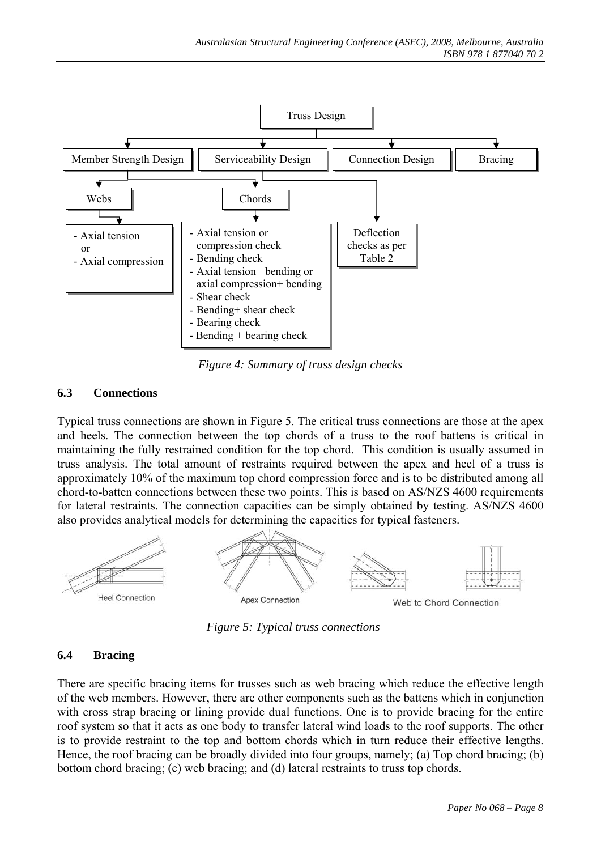

*Figure 4: Summary of truss design checks* 

#### **6.3 Connections**

Typical truss connections are shown in Figure 5. The critical truss connections are those at the apex and heels. The connection between the top chords of a truss to the roof battens is critical in maintaining the fully restrained condition for the top chord. This condition is usually assumed in truss analysis. The total amount of restraints required between the apex and heel of a truss is approximately 10% of the maximum top chord compression force and is to be distributed among all chord-to-batten connections between these two points. This is based on AS/NZS 4600 requirements for lateral restraints. The connection capacities can be simply obtained by testing. AS/NZS 4600 also provides analytical models for determining the capacities for typical fasteners.



*Figure 5: Typical truss connections*

#### **6.4 Bracing**

There are specific bracing items for trusses such as web bracing which reduce the effective length of the web members. However, there are other components such as the battens which in conjunction with cross strap bracing or lining provide dual functions. One is to provide bracing for the entire roof system so that it acts as one body to transfer lateral wind loads to the roof supports. The other is to provide restraint to the top and bottom chords which in turn reduce their effective lengths. Hence, the roof bracing can be broadly divided into four groups, namely; (a) Top chord bracing; (b) bottom chord bracing; (c) web bracing; and (d) lateral restraints to truss top chords.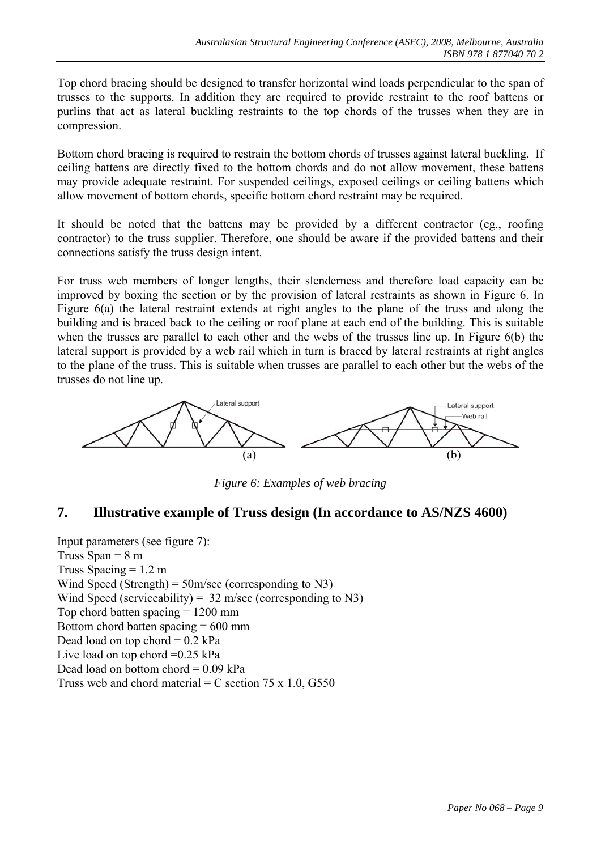Top chord bracing should be designed to transfer horizontal wind loads perpendicular to the span of trusses to the supports. In addition they are required to provide restraint to the roof battens or purlins that act as lateral buckling restraints to the top chords of the trusses when they are in compression.

Bottom chord bracing is required to restrain the bottom chords of trusses against lateral buckling. If ceiling battens are directly fixed to the bottom chords and do not allow movement, these battens may provide adequate restraint. For suspended ceilings, exposed ceilings or ceiling battens which allow movement of bottom chords, specific bottom chord restraint may be required.

It should be noted that the battens may be provided by a different contractor (eg., roofing contractor) to the truss supplier. Therefore, one should be aware if the provided battens and their connections satisfy the truss design intent.

For truss web members of longer lengths, their slenderness and therefore load capacity can be improved by boxing the section or by the provision of lateral restraints as shown in Figure 6. In Figure 6(a) the lateral restraint extends at right angles to the plane of the truss and along the building and is braced back to the ceiling or roof plane at each end of the building. This is suitable when the trusses are parallel to each other and the webs of the trusses line up. In Figure 6(b) the lateral support is provided by a web rail which in turn is braced by lateral restraints at right angles to the plane of the truss. This is suitable when trusses are parallel to each other but the webs of the trusses do not line up.



*Figure 6: Examples of web bracing* 

## **7. Illustrative example of Truss design (In accordance to AS/NZS 4600)**

Input parameters (see figure 7): Truss Span  $= 8$  m Truss Spacing  $= 1.2$  m Wind Speed (Strength) =  $50 \text{m/sec}$  (corresponding to N3) Wind Speed (serviceability) =  $32 \text{ m/sec}$  (corresponding to N3) Top chord batten spacing  $= 1200$  mm Bottom chord batten spacing  $= 600$  mm Dead load on top chord  $= 0.2$  kPa Live load on top chord  $=0.25$  kPa Dead load on bottom chord  $= 0.09$  kPa Truss web and chord material = C section  $75 \times 1.0$ , G550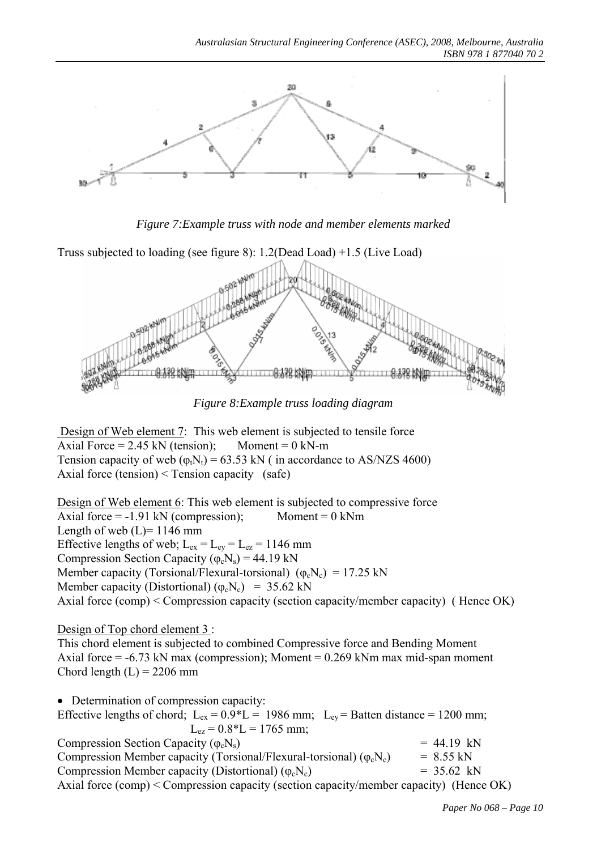

*Figure 7:Example truss with node and member elements marked*



*Figure 8:Example truss loading diagram*

Design of Web element 7: This web element is subjected to tensile force Axial Force =  $2.45$  kN (tension); Moment =  $0$  kN-m Tension capacity of web  $(\varphi_t N_t) = 63.53$  kN ( in accordance to AS/NZS 4600) Axial force (tension) < Tension capacity (safe)

Design of Web element 6: This web element is subjected to compressive force Axial force  $= -1.91$  kN (compression); Moment  $= 0$  kNm Length of web  $(L)$ = 1146 mm Effective lengths of web;  $L_{ex} = L_{ey} = L_{ez} = 1146$  mm Compression Section Capacity ( $\varphi_c$ N<sub>s</sub>) = 44.19 kN Member capacity (Torsional/Flexural-torsional)  $(\varphi_c N_c) = 17.25$  kN Member capacity (Distortional) ( $\varphi_c$ N<sub>c</sub>) = 35.62 kN Axial force (comp) < Compression capacity (section capacity/member capacity) ( Hence OK)

Design of Top chord element 3:

This chord element is subjected to combined Compressive force and Bending Moment Axial force  $= -6.73$  kN max (compression); Moment  $= 0.269$  kNm max mid-span moment Chord length  $(L) = 2206$  mm

• Determination of compression capacity: Effective lengths of chord;  $L_{ex} = 0.9*L = 1986$  mm;  $L_{ev} =$  Batten distance = 1200 mm;  $L_{\text{ez}} = 0.8 \times L = 1765 \text{ mm}$ ; Compression Section Capacity  $(\varphi_c N_s)$  = 44.19 kN Compression Member capacity (Torsional/Flexural-torsional) ( $\varphi_c$ N<sub>c</sub>) = 8.55 kN Compression Member capacity (Distortional)  $(\varphi_c N_c)$  = 35.62 kN Axial force (comp) < Compression capacity (section capacity/member capacity) (Hence OK)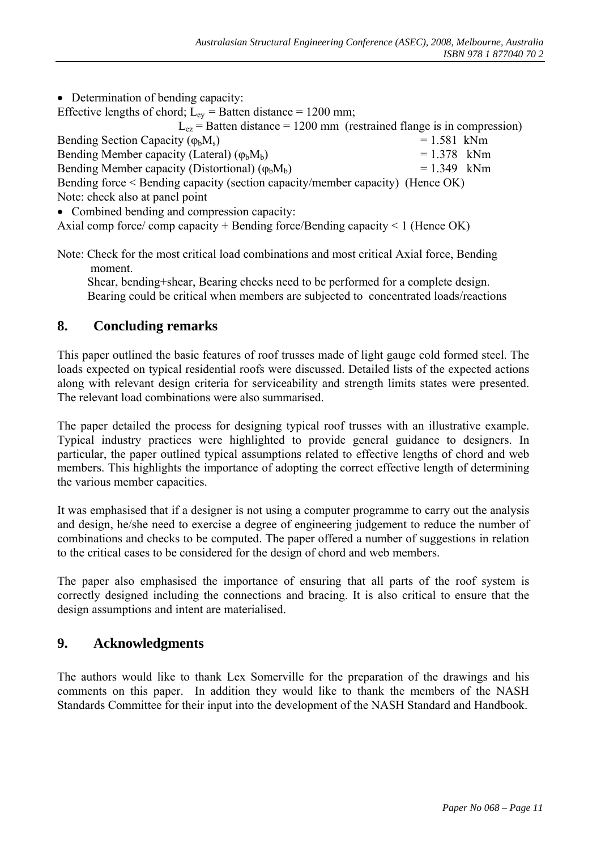| • Determination of bending capacity:                                                |               |  |  |  |
|-------------------------------------------------------------------------------------|---------------|--|--|--|
| Effective lengths of chord; $L_{ev}$ = Batten distance = 1200 mm;                   |               |  |  |  |
| $L_{ez}$ = Batten distance = 1200 mm (restrained flange is in compression)          |               |  |  |  |
| Bending Section Capacity ( $\varphi_b M_s$ )                                        | $= 1.581$ kNm |  |  |  |
| Bending Member capacity (Lateral) $(\varphi_b M_b)$                                 | $= 1.378$ kNm |  |  |  |
| Bending Member capacity (Distortional) $(\varphi_b M_b)$<br>$= 1.349$ kNm           |               |  |  |  |
| Bending force < Bending capacity (section capacity/member capacity) (Hence OK)      |               |  |  |  |
| Note: check also at panel point                                                     |               |  |  |  |
| • Combined bending and compression capacity:                                        |               |  |  |  |
| Axial comp force/comp capacity + Bending force/Bending capacity $\leq 1$ (Hence OK) |               |  |  |  |

Note: Check for the most critical load combinations and most critical Axial force, Bending moment.

 Shear, bending+shear, Bearing checks need to be performed for a complete design. Bearing could be critical when members are subjected to concentrated loads/reactions

## **8. Concluding remarks**

This paper outlined the basic features of roof trusses made of light gauge cold formed steel. The loads expected on typical residential roofs were discussed. Detailed lists of the expected actions along with relevant design criteria for serviceability and strength limits states were presented. The relevant load combinations were also summarised.

The paper detailed the process for designing typical roof trusses with an illustrative example. Typical industry practices were highlighted to provide general guidance to designers. In particular, the paper outlined typical assumptions related to effective lengths of chord and web members. This highlights the importance of adopting the correct effective length of determining the various member capacities.

It was emphasised that if a designer is not using a computer programme to carry out the analysis and design, he/she need to exercise a degree of engineering judgement to reduce the number of combinations and checks to be computed. The paper offered a number of suggestions in relation to the critical cases to be considered for the design of chord and web members.

The paper also emphasised the importance of ensuring that all parts of the roof system is correctly designed including the connections and bracing. It is also critical to ensure that the design assumptions and intent are materialised.

#### **9. Acknowledgments**

The authors would like to thank Lex Somerville for the preparation of the drawings and his comments on this paper. In addition they would like to thank the members of the NASH Standards Committee for their input into the development of the NASH Standard and Handbook.